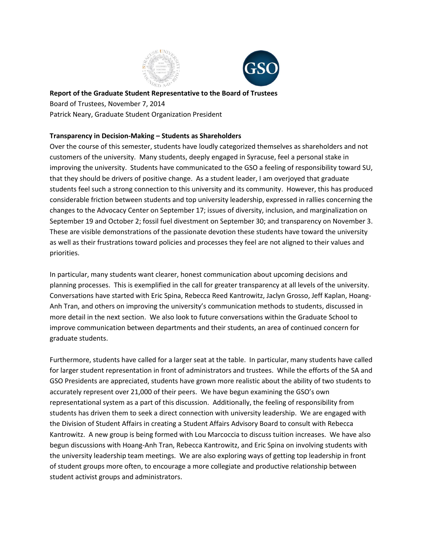



**Report of the Graduate Student Representative to the Board of Trustees** Board of Trustees, November 7, 2014 Patrick Neary, Graduate Student Organization President

# **Transparency in Decision-Making – Students as Shareholders**

Over the course of this semester, students have loudly categorized themselves as shareholders and not customers of the university. Many students, deeply engaged in Syracuse, feel a personal stake in improving the university. Students have communicated to the GSO a feeling of responsibility toward SU, that they should be drivers of positive change. As a student leader, I am overjoyed that graduate students feel such a strong connection to this university and its community. However, this has produced considerable friction between students and top university leadership, expressed in rallies concerning the changes to the Advocacy Center on September 17; issues of diversity, inclusion, and marginalization on September 19 and October 2; fossil fuel divestment on September 30; and transparency on November 3. These are visible demonstrations of the passionate devotion these students have toward the university as well as their frustrations toward policies and processes they feel are not aligned to their values and priorities.

In particular, many students want clearer, honest communication about upcoming decisions and planning processes. This is exemplified in the call for greater transparency at all levels of the university. Conversations have started with Eric Spina, Rebecca Reed Kantrowitz, Jaclyn Grosso, Jeff Kaplan, Hoang-Anh Tran, and others on improving the university's communication methods to students, discussed in more detail in the next section. We also look to future conversations within the Graduate School to improve communication between departments and their students, an area of continued concern for graduate students.

Furthermore, students have called for a larger seat at the table. In particular, many students have called for larger student representation in front of administrators and trustees. While the efforts of the SA and GSO Presidents are appreciated, students have grown more realistic about the ability of two students to accurately represent over 21,000 of their peers. We have begun examining the GSO's own representational system as a part of this discussion. Additionally, the feeling of responsibility from students has driven them to seek a direct connection with university leadership. We are engaged with the Division of Student Affairs in creating a Student Affairs Advisory Board to consult with Rebecca Kantrowitz. A new group is being formed with Lou Marcoccia to discuss tuition increases. We have also begun discussions with Hoang-Anh Tran, Rebecca Kantrowitz, and Eric Spina on involving students with the university leadership team meetings. We are also exploring ways of getting top leadership in front of student groups more often, to encourage a more collegiate and productive relationship between student activist groups and administrators.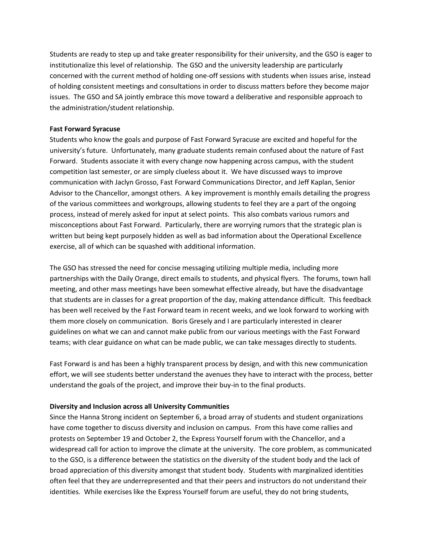Students are ready to step up and take greater responsibility for their university, and the GSO is eager to institutionalize this level of relationship. The GSO and the university leadership are particularly concerned with the current method of holding one-off sessions with students when issues arise, instead of holding consistent meetings and consultations in order to discuss matters before they become major issues. The GSO and SA jointly embrace this move toward a deliberative and responsible approach to the administration/student relationship.

## **Fast Forward Syracuse**

Students who know the goals and purpose of Fast Forward Syracuse are excited and hopeful for the university's future. Unfortunately, many graduate students remain confused about the nature of Fast Forward. Students associate it with every change now happening across campus, with the student competition last semester, or are simply clueless about it. We have discussed ways to improve communication with Jaclyn Grosso, Fast Forward Communications Director, and Jeff Kaplan, Senior Advisor to the Chancellor, amongst others. A key improvement is monthly emails detailing the progress of the various committees and workgroups, allowing students to feel they are a part of the ongoing process, instead of merely asked for input at select points. This also combats various rumors and misconceptions about Fast Forward. Particularly, there are worrying rumors that the strategic plan is written but being kept purposely hidden as well as bad information about the Operational Excellence exercise, all of which can be squashed with additional information.

The GSO has stressed the need for concise messaging utilizing multiple media, including more partnerships with the Daily Orange, direct emails to students, and physical flyers. The forums, town hall meeting, and other mass meetings have been somewhat effective already, but have the disadvantage that students are in classes for a great proportion of the day, making attendance difficult. This feedback has been well received by the Fast Forward team in recent weeks, and we look forward to working with them more closely on communication. Boris Gresely and I are particularly interested in clearer guidelines on what we can and cannot make public from our various meetings with the Fast Forward teams; with clear guidance on what can be made public, we can take messages directly to students.

Fast Forward is and has been a highly transparent process by design, and with this new communication effort, we will see students better understand the avenues they have to interact with the process, better understand the goals of the project, and improve their buy-in to the final products.

#### **Diversity and Inclusion across all University Communities**

Since the Hanna Strong incident on September 6, a broad array of students and student organizations have come together to discuss diversity and inclusion on campus. From this have come rallies and protests on September 19 and October 2, the Express Yourself forum with the Chancellor, and a widespread call for action to improve the climate at the university. The core problem, as communicated to the GSO, is a difference between the statistics on the diversity of the student body and the lack of broad appreciation of this diversity amongst that student body. Students with marginalized identities often feel that they are underrepresented and that their peers and instructors do not understand their identities. While exercises like the Express Yourself forum are useful, they do not bring students,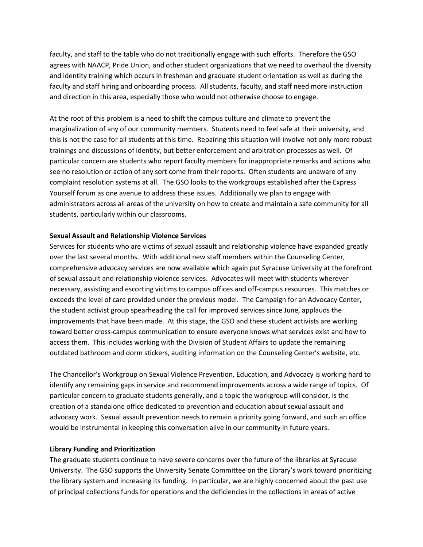faculty, and staff to the table who do not traditionally engage with such efforts. Therefore the GSO agrees with NAACP, Pride Union, and other student organizations that we need to overhaul the diversity and identity training which occurs in freshman and graduate student orientation as well as during the faculty and staff hiring and onboarding process. All students, faculty, and staff need more instruction and direction in this area, especially those who would not otherwise choose to engage.

At the root of this problem is a need to shift the campus culture and climate to prevent the marginalization of any of our community members. Students need to feel safe at their university, and this is not the case for all students at this time. Repairing this situation will involve not only more robust trainings and discussions of identity, but better enforcement and arbitration processes as well. Of particular concern are students who report faculty members for inappropriate remarks and actions who see no resolution or action of any sort come from their reports. Often students are unaware of any complaint resolution systems at all. The GSO looks to the workgroups established after the Express Yourself forum as one avenue to address these issues. Additionally we plan to engage with administrators across all areas of the university on how to create and maintain a safe community for all students, particularly within our classrooms.

## **Sexual Assault and Relationship Violence Services**

Services for students who are victims of sexual assault and relationship violence have expanded greatly over the last several months. With additional new staff members within the Counseling Center, comprehensive advocacy services are now available which again put Syracuse University at the forefront of sexual assault and relationship violence services. Advocates will meet with students wherever necessary, assisting and escorting victims to campus offices and off-campus resources. This matches or exceeds the level of care provided under the previous model. The Campaign for an Advocacy Center, the student activist group spearheading the call for improved services since June, applauds the improvements that have been made. At this stage, the GSO and these student activists are working toward better cross-campus communication to ensure everyone knows what services exist and how to access them. This includes working with the Division of Student Affairs to update the remaining outdated bathroom and dorm stickers, auditing information on the Counseling Center's website, etc.

The Chancellor's Workgroup on Sexual Violence Prevention, Education, and Advocacy is working hard to identify any remaining gaps in service and recommend improvements across a wide range of topics. Of particular concern to graduate students generally, and a topic the workgroup will consider, is the creation of a standalone office dedicated to prevention and education about sexual assault and advocacy work. Sexual assault prevention needs to remain a priority going forward, and such an office would be instrumental in keeping this conversation alive in our community in future years.

#### **Library Funding and Prioritization**

The graduate students continue to have severe concerns over the future of the libraries at Syracuse University. The GSO supports the University Senate Committee on the Library's work toward prioritizing the library system and increasing its funding. In particular, we are highly concerned about the past use of principal collections funds for operations and the deficiencies in the collections in areas of active